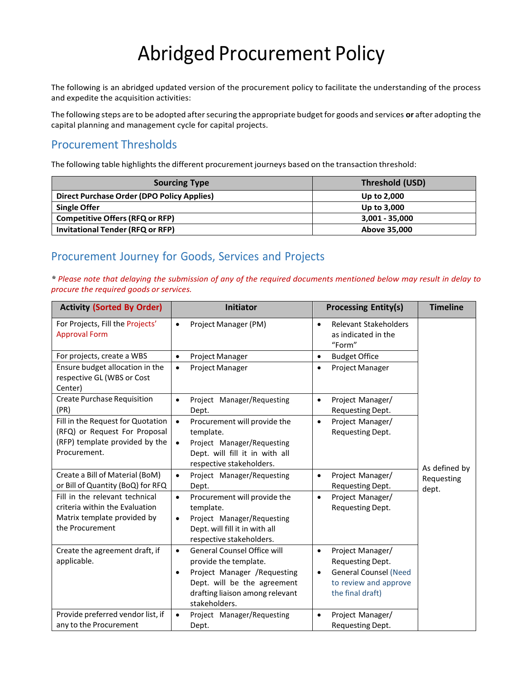# Abridged Procurement Policy

The following is an abridged updated version of the procurement policy to facilitate the understanding of the process and expedite the acquisition activities:

The following steps are to be adopted aftersecuring the appropriate budgetfor goods and services **or** after adopting the capital planning and management cycle for capital projects.

## Procurement Thresholds

The following table highlights the different procurement journeys based on the transaction threshold:

| <b>Sourcing Type</b>                       | Threshold (USD)  |
|--------------------------------------------|------------------|
| Direct Purchase Order (DPO Policy Applies) | Up to 2,000      |
| <b>Single Offer</b>                        | Up to 3,000      |
| <b>Competitive Offers (RFQ or RFP)</b>     | $3,001 - 35,000$ |
| <b>Invitational Tender (RFQ or RFP)</b>    | Above 35,000     |

## Procurement Journey for Goods, Services and Projects

\* Please note that delaying the submission of any of the required documents mentioned below may result in delay to *procure the required goods or services.*

| <b>Activity (Sorted By Order)</b>                                                                                    | <b>Initiator</b>                                                                                                                                                                                        | <b>Processing Entity(s)</b>                                                                                                                 | <b>Timeline</b>                      |
|----------------------------------------------------------------------------------------------------------------------|---------------------------------------------------------------------------------------------------------------------------------------------------------------------------------------------------------|---------------------------------------------------------------------------------------------------------------------------------------------|--------------------------------------|
| For Projects, Fill the Projects'<br><b>Approval Form</b>                                                             | Project Manager (PM)<br>$\bullet$                                                                                                                                                                       | <b>Relevant Stakeholders</b><br>$\bullet$<br>as indicated in the<br>"Form"                                                                  |                                      |
| For projects, create a WBS                                                                                           | Project Manager<br>$\bullet$                                                                                                                                                                            | <b>Budget Office</b><br>$\bullet$                                                                                                           |                                      |
| Ensure budget allocation in the<br>respective GL (WBS or Cost<br>Center)                                             | Project Manager<br>$\bullet$                                                                                                                                                                            | Project Manager<br>$\bullet$                                                                                                                |                                      |
| <b>Create Purchase Requisition</b><br>(PR)                                                                           | Project Manager/Requesting<br>$\bullet$<br>Dept.                                                                                                                                                        | Project Manager/<br>$\bullet$<br>Requesting Dept.                                                                                           |                                      |
| Fill in the Request for Quotation<br>(RFQ) or Request For Proposal<br>(RFP) template provided by the<br>Procurement. | Procurement will provide the<br>$\bullet$<br>template.<br>Project Manager/Requesting<br>$\bullet$<br>Dept. will fill it in with all<br>respective stakeholders.                                         | Project Manager/<br>$\bullet$<br>Requesting Dept.                                                                                           |                                      |
| Create a Bill of Material (BoM)<br>or Bill of Quantity (BoQ) for RFQ                                                 | Project Manager/Requesting<br>$\bullet$<br>Dept.                                                                                                                                                        | Project Manager/<br>$\bullet$<br>Requesting Dept.                                                                                           | As defined by<br>Requesting<br>dept. |
| Fill in the relevant technical<br>criteria within the Evaluation<br>Matrix template provided by<br>the Procurement   | Procurement will provide the<br>$\bullet$<br>template.<br>Project Manager/Requesting<br>$\bullet$<br>Dept. will fill it in with all<br>respective stakeholders.                                         | Project Manager/<br>$\bullet$<br>Requesting Dept.                                                                                           |                                      |
| Create the agreement draft, if<br>applicable.                                                                        | <b>General Counsel Office will</b><br>$\bullet$<br>provide the template.<br>Project Manager /Requesting<br>$\bullet$<br>Dept. will be the agreement<br>drafting liaison among relevant<br>stakeholders. | Project Manager/<br>$\bullet$<br>Requesting Dept.<br><b>General Counsel (Need</b><br>$\bullet$<br>to review and approve<br>the final draft) |                                      |
| Provide preferred vendor list, if<br>any to the Procurement                                                          | Project Manager/Requesting<br>$\bullet$<br>Dept.                                                                                                                                                        | Project Manager/<br>$\bullet$<br>Requesting Dept.                                                                                           |                                      |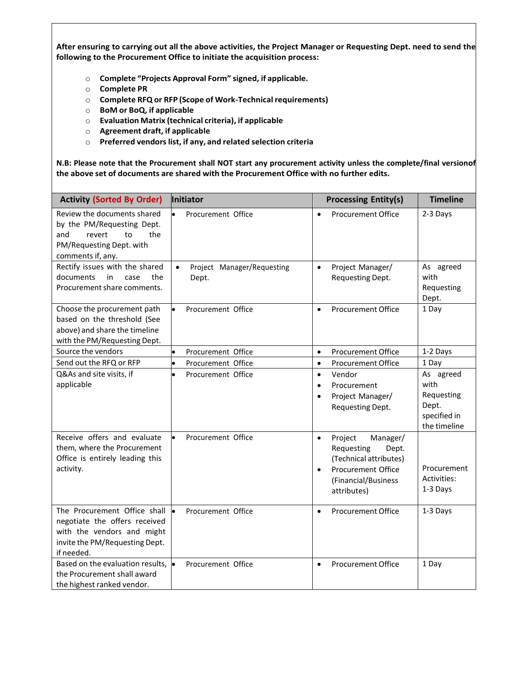After ensuring to carrying out all the above activities, the Project Manager or Requesting Dept. need to send the **following to the Procurement Office to initiate the acquisition process:**

- o **Complete "Projects Approval Form" signed, if applicable.**
- o **Complete PR**
- o **Complete RFQ or RFP (Scope of Work-Technicalrequirements)**
- o **BoM or BoQ, if applicable**
- o **Evaluation Matrix (technical criteria), if applicable**
- o **Agreement draft, if applicable**
- o **Preferred vendorslist, if any, and related selection criteria**

**N.B: Please note that the Procurement shall NOT start any procurement activity unless the complete/final versionof the above set of documents are shared with the Procurement Office with no further edits.**

| <b>Activity (Sorted By Order)</b>                                                                                                           | Initiator                                        | <b>Processing Entity(s)</b>                                                                                                                                       | <b>Timeline</b>                                                          |
|---------------------------------------------------------------------------------------------------------------------------------------------|--------------------------------------------------|-------------------------------------------------------------------------------------------------------------------------------------------------------------------|--------------------------------------------------------------------------|
| Review the documents shared<br>by the PM/Requesting Dept.<br>and<br>revert<br>to<br>the<br>PM/Requesting Dept. with<br>comments if, any.    | Procurement Office                               | <b>Procurement Office</b><br>$\bullet$                                                                                                                            | 2-3 Days                                                                 |
| Rectify issues with the shared<br>documents<br>in<br>case<br>the<br>Procurement share comments.                                             | Project Manager/Requesting<br>$\bullet$<br>Dept. | Project Manager/<br>$\bullet$<br>Requesting Dept.                                                                                                                 | As agreed<br>with<br>Requesting<br>Dept.                                 |
| Choose the procurement path<br>based on the threshold (See<br>above) and share the timeline<br>with the PM/Requesting Dept.                 | Procurement Office                               | <b>Procurement Office</b><br>$\bullet$                                                                                                                            | 1 Day                                                                    |
| Source the vendors                                                                                                                          | Procurement Office                               | $\bullet$<br><b>Procurement Office</b>                                                                                                                            | 1-2 Days                                                                 |
| Send out the RFQ or RFP                                                                                                                     | Procurement Office                               | <b>Procurement Office</b><br>$\bullet$                                                                                                                            | 1 Day                                                                    |
| Q&As and site visits, if<br>applicable                                                                                                      | Procurement Office<br>$\bullet$                  | Vendor<br>$\bullet$<br>Procurement<br>$\bullet$<br>Project Manager/<br>$\bullet$<br>Requesting Dept.                                                              | As agreed<br>with<br>Requesting<br>Dept.<br>specified in<br>the timeline |
| Receive offers and evaluate<br>them, where the Procurement<br>Office is entirely leading this<br>activity.                                  | Procurement Office                               | Manager/<br>Project<br>$\bullet$<br>Requesting<br>Dept.<br>(Technical attributes)<br><b>Procurement Office</b><br>$\bullet$<br>(Financial/Business<br>attributes) | Procurement<br>Activities:<br>1-3 Days                                   |
| The Procurement Office shall<br>negotiate the offers received<br>with the vendors and might<br>invite the PM/Requesting Dept.<br>if needed. | Procurement Office                               | <b>Procurement Office</b><br>$\bullet$                                                                                                                            | 1-3 Days                                                                 |
| Based on the evaluation results, $\bullet$<br>the Procurement shall award<br>the highest ranked vendor.                                     | Procurement Office                               | <b>Procurement Office</b><br>$\bullet$                                                                                                                            | 1 Day                                                                    |